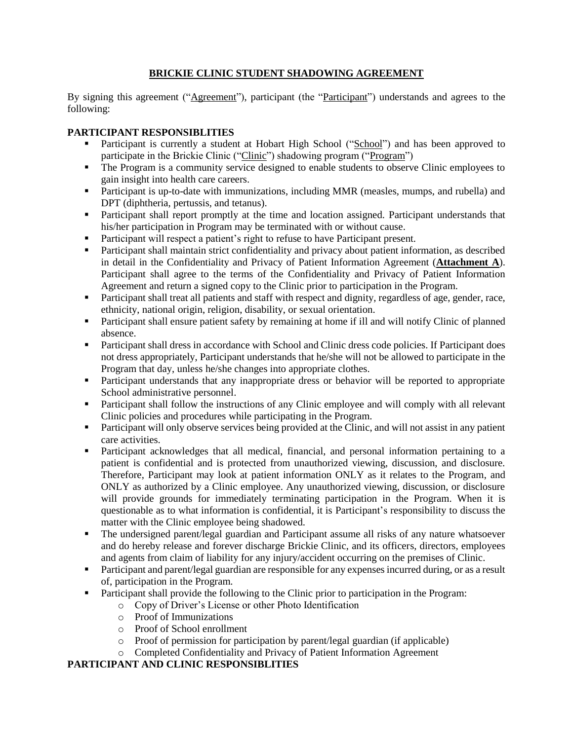# **BRICKIE CLINIC STUDENT SHADOWING AGREEMENT**

By signing this agreement ("Agreement"), participant (the "Participant") understands and agrees to the following:

### **PARTICIPANT RESPONSIBLITIES**

- Participant is currently a student at Hobart High School ("School") and has been approved to participate in the Brickie Clinic ("Clinic") shadowing program ("Program")
- The Program is a community service designed to enable students to observe Clinic employees to gain insight into health care careers.
- **Participant is up-to-date with immunizations, including MMR (measles, mumps, and rubella) and** DPT (diphtheria, pertussis, and tetanus).
- Participant shall report promptly at the time and location assigned. Participant understands that his/her participation in Program may be terminated with or without cause.
- Participant will respect a patient's right to refuse to have Participant present.
- Participant shall maintain strict confidentiality and privacy about patient information, as described in detail in the Confidentiality and Privacy of Patient Information Agreement (**Attachment A**). Participant shall agree to the terms of the Confidentiality and Privacy of Patient Information Agreement and return a signed copy to the Clinic prior to participation in the Program.
- Participant shall treat all patients and staff with respect and dignity, regardless of age, gender, race, ethnicity, national origin, religion, disability, or sexual orientation.
- Participant shall ensure patient safety by remaining at home if ill and will notify Clinic of planned absence.
- Participant shall dress in accordance with School and Clinic dress code policies. If Participant does not dress appropriately, Participant understands that he/she will not be allowed to participate in the Program that day, unless he/she changes into appropriate clothes.
- **Participant understands that any inappropriate dress or behavior will be reported to appropriate** School administrative personnel.
- **Participant shall follow the instructions of any Clinic employee and will comply with all relevant** Clinic policies and procedures while participating in the Program.
- Participant will only observe services being provided at the Clinic, and will not assist in any patient care activities.
- Participant acknowledges that all medical, financial, and personal information pertaining to a patient is confidential and is protected from unauthorized viewing, discussion, and disclosure. Therefore, Participant may look at patient information ONLY as it relates to the Program, and ONLY as authorized by a Clinic employee. Any unauthorized viewing, discussion, or disclosure will provide grounds for immediately terminating participation in the Program. When it is questionable as to what information is confidential, it is Participant's responsibility to discuss the matter with the Clinic employee being shadowed.
- The undersigned parent/legal guardian and Participant assume all risks of any nature whatsoever and do hereby release and forever discharge Brickie Clinic, and its officers, directors, employees and agents from claim of liability for any injury/accident occurring on the premises of Clinic.
- Participant and parent/legal guardian are responsible for any expenses incurred during, or as a result of, participation in the Program.
- Participant shall provide the following to the Clinic prior to participation in the Program:
	- o Copy of Driver's License or other Photo Identification
	- o Proof of Immunizations
	- o Proof of School enrollment
	- o Proof of permission for participation by parent/legal guardian (if applicable)
	- o Completed Confidentiality and Privacy of Patient Information Agreement

## **PARTICIPANT AND CLINIC RESPONSIBLITIES**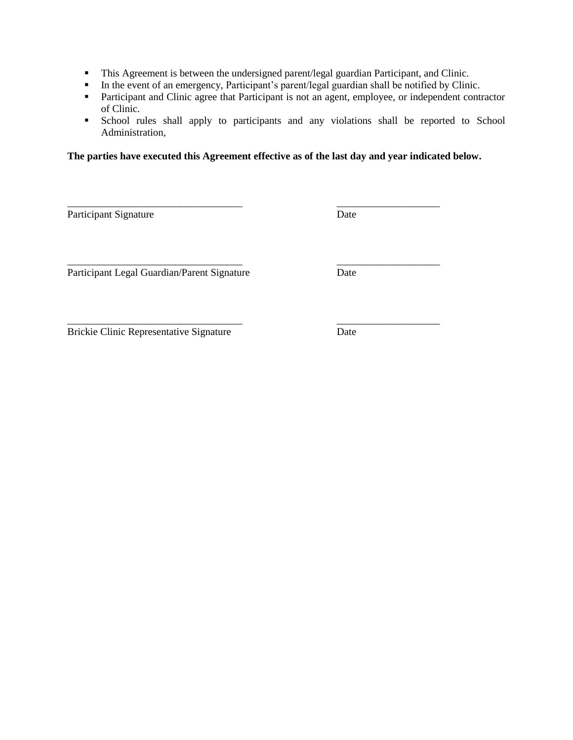- This Agreement is between the undersigned parent/legal guardian Participant, and Clinic.
- In the event of an emergency, Participant's parent/legal guardian shall be notified by Clinic.
- **Participant and Clinic agree that Participant is not an agent, employee, or independent contractor** of Clinic.
- School rules shall apply to participants and any violations shall be reported to School Administration,

**The parties have executed this Agreement effective as of the last day and year indicated below.** 

\_\_\_\_\_\_\_\_\_\_\_\_\_\_\_\_\_\_\_\_\_\_\_\_\_\_\_\_\_\_\_\_\_\_ \_\_\_\_\_\_\_\_\_\_\_\_\_\_\_\_\_\_\_\_

\_\_\_\_\_\_\_\_\_\_\_\_\_\_\_\_\_\_\_\_\_\_\_\_\_\_\_\_\_\_\_\_\_\_ \_\_\_\_\_\_\_\_\_\_\_\_\_\_\_\_\_\_\_\_

Participant Signature Date

Participant Legal Guardian/Parent Signature Date

\_\_\_\_\_\_\_\_\_\_\_\_\_\_\_\_\_\_\_\_\_\_\_\_\_\_\_\_\_\_\_\_\_\_ \_\_\_\_\_\_\_\_\_\_\_\_\_\_\_\_\_\_\_\_ Brickie Clinic Representative Signature Date